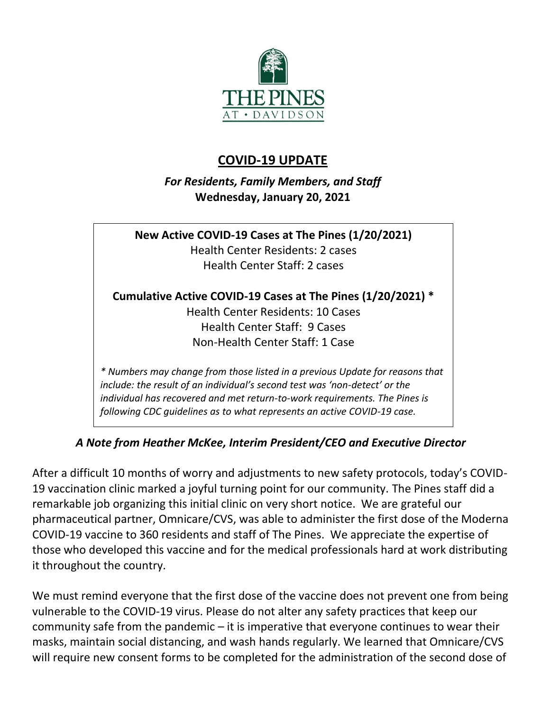

## **COVID-19 UPDATE**

*For Residents, Family Members, and Staff* **Wednesday, January 20, 2021**

**New Active COVID-19 Cases at The Pines (1/20/2021)** Health Center Residents: 2 cases Health Center Staff: 2 cases **Cumulative Active COVID-19 Cases at The Pines (1/20/2021) \*** Health Center Residents: 10 Cases Health Center Staff: 9 Cases Non-Health Center Staff: 1 Case *\* Numbers may change from those listed in a previous Update for reasons that include: the result of an individual's second test was 'non-detect' or the individual has recovered and met return-to-work requirements. The Pines is* 

*A Note from Heather McKee, Interim President/CEO and Executive Director*

*following CDC guidelines as to what represents an active COVID-19 case.*

After a difficult 10 months of worry and adjustments to new safety protocols, today's COVID-19 vaccination clinic marked a joyful turning point for our community. The Pines staff did a remarkable job organizing this initial clinic on very short notice. We are grateful our pharmaceutical partner, Omnicare/CVS, was able to administer the first dose of the Moderna COVID-19 vaccine to 360 residents and staff of The Pines. We appreciate the expertise of those who developed this vaccine and for the medical professionals hard at work distributing it throughout the country.

We must remind everyone that the first dose of the vaccine does not prevent one from being vulnerable to the COVID-19 virus. Please do not alter any safety practices that keep our community safe from the pandemic – it is imperative that everyone continues to wear their masks, maintain social distancing, and wash hands regularly. We learned that Omnicare/CVS will require new consent forms to be completed for the administration of the second dose of